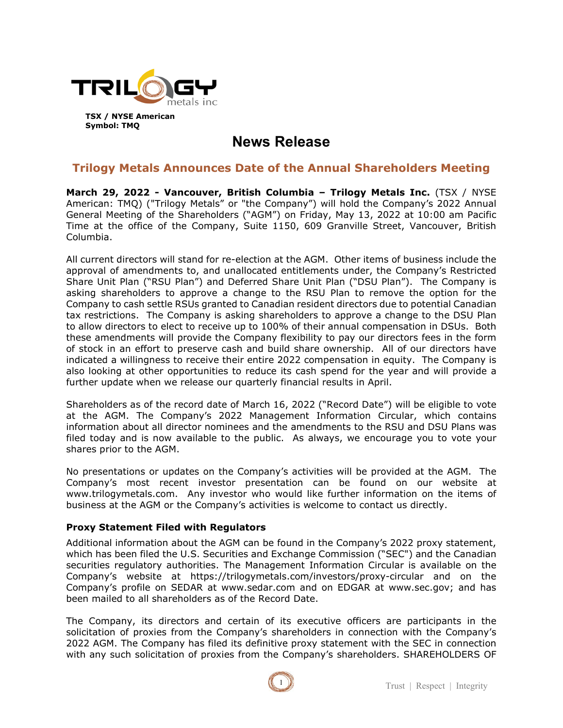

**TSX / NYSE American Symbol: TMQ**

# **News Release**

# **Trilogy Metals Announces Date of the Annual Shareholders Meeting**

**March 29, 2022 - Vancouver, British Columbia – Trilogy Metals Inc.** (TSX / NYSE American: TMQ) ("Trilogy Metals" or "the Company") will hold the Company's 2022 Annual General Meeting of the Shareholders ("AGM") on Friday, May 13, 2022 at 10:00 am Pacific Time at the office of the Company, Suite 1150, 609 Granville Street, Vancouver, British Columbia.

All current directors will stand for re-election at the AGM. Other items of business include the approval of amendments to, and unallocated entitlements under, the Company's Restricted Share Unit Plan ("RSU Plan") and Deferred Share Unit Plan ("DSU Plan"). The Company is asking shareholders to approve a change to the RSU Plan to remove the option for the Company to cash settle RSUs granted to Canadian resident directors due to potential Canadian tax restrictions. The Company is asking shareholders to approve a change to the DSU Plan to allow directors to elect to receive up to 100% of their annual compensation in DSUs. Both these amendments will provide the Company flexibility to pay our directors fees in the form of stock in an effort to preserve cash and build share ownership. All of our directors have indicated a willingness to receive their entire 2022 compensation in equity. The Company is also looking at other opportunities to reduce its cash spend for the year and will provide a further update when we release our quarterly financial results in April.

Shareholders as of the record date of March 16, 2022 ("Record Date") will be eligible to vote at the AGM. The Company's 2022 Management Information Circular, which contains information about all director nominees and the amendments to the RSU and DSU Plans was filed today and is now available to the public. As always, we encourage you to vote your shares prior to the AGM.

No presentations or updates on the Company's activities will be provided at the AGM. The Company's most recent investor presentation can be found on our website at www.trilogymetals.com. Any investor who would like further information on the items of business at the AGM or the Company's activities is welcome to contact us directly.

# **Proxy Statement Filed with Regulators**

Additional information about the AGM can be found in the Company's 2022 proxy statement, which has been filed the U.S. Securities and Exchange Commission ("SEC") and the Canadian securities regulatory authorities. The Management Information Circular is available on the Company's website at https://trilogymetals.com/investors/proxy-circular and on the Company's profile on SEDAR at www.sedar.com and on EDGAR at www.sec.gov; and has been mailed to all shareholders as of the Record Date.

The Company, its directors and certain of its executive officers are participants in the solicitation of proxies from the Company's shareholders in connection with the Company's 2022 AGM. The Company has filed its definitive proxy statement with the SEC in connection with any such solicitation of proxies from the Company's shareholders. SHAREHOLDERS OF